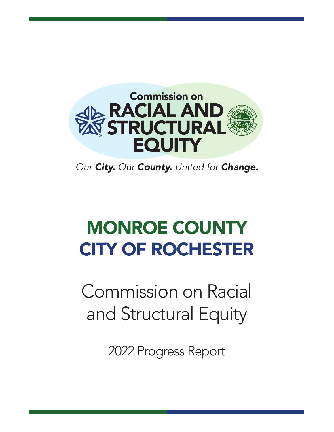

*Our City. Our County. United for Change.*

# MONROE COUNTY CITY OF ROCHESTER

Commission on Racial and Structural Equity

2022 Progress Report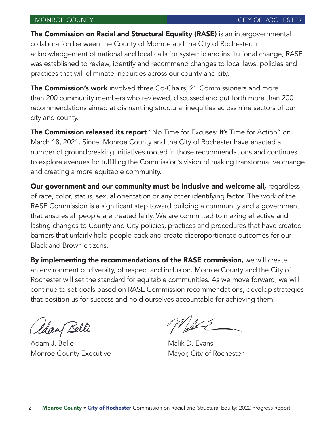The Commission on Racial and Structural Equality (RASE) is an intergovernmental collaboration between the County of Monroe and the City of Rochester. In acknowledgement of national and local calls for systemic and institutional change, RASE was established to review, identify and recommend changes to local laws, policies and practices that will eliminate inequities across our county and city.

**The Commission's work** involved three Co-Chairs, 21 Commissioners and more than 200 community members who reviewed, discussed and put forth more than 200 recommendations aimed at dismantling structural inequities across nine sectors of our city and county.

The Commission released its report "No Time for Excuses: It's Time for Action" on March 18, 2021. Since, Monroe County and the City of Rochester have enacted a number of groundbreaking initiatives rooted in those recommendations and continues to explore avenues for fulfilling the Commission's vision of making transformative change and creating a more equitable community.

Our government and our community must be inclusive and welcome all, regardless of race, color, status, sexual orientation or any other identifying factor. The work of the RASE Commission is a significant step toward building a community and a government that ensures all people are treated fairly. We are committed to making effective and lasting changes to County and City policies, practices and procedures that have created barriers that unfairly hold people back and create disproportionate outcomes for our Black and Brown citizens.

By implementing the recommendations of the RASE commission, we will create an environment of diversity, of respect and inclusion. Monroe County and the City of Rochester will set the standard for equitable communities. As we move forward, we will continue to set goals based on RASE Commission recommendations, develop strategies that position us for success and hold ourselves accountable for achieving them.

Idan Bello

Adam J. Bello Malik D. Evans Monroe County Executive Mayor, City of Rochester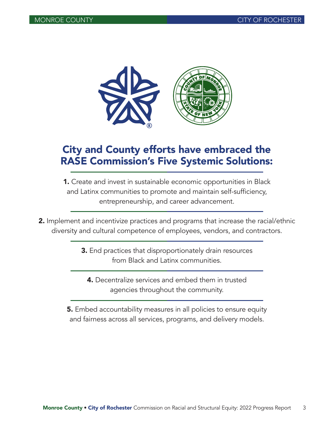

# City and County efforts have embraced the RASE Commission's Five Systemic Solutions:

- 1. Create and invest in sustainable economic opportunities in Black and Latinx communities to promote and maintain self-sufficiency, entrepreneurship, and career advancement.
- **2.** Implement and incentivize practices and programs that increase the racial/ethnic diversity and cultural competence of employees, vendors, and contractors.
	- 3. End practices that disproportionately drain resources from Black and Latinx communities.
		- 4. Decentralize services and embed them in trusted agencies throughout the community.
	- 5. Embed accountability measures in all policies to ensure equity and fairness across all services, programs, and delivery models.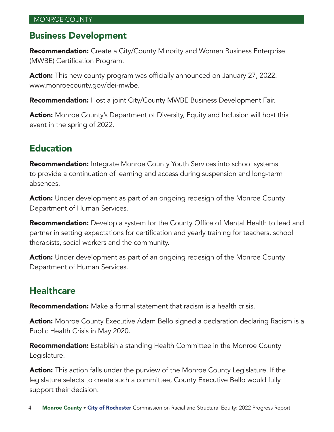#### Business Development

**Recommendation:** Create a City/County Minority and Women Business Enterprise (MWBE) Certification Program.

Action: This new county program was officially announced on January 27, 2022. www.monroecounty.gov/dei-mwbe.

**Recommendation:** Host a joint City/County MWBE Business Development Fair.

**Action:** Monroe County's Department of Diversity, Equity and Inclusion will host this event in the spring of 2022.

## Education

**Recommendation:** Integrate Monroe County Youth Services into school systems to provide a continuation of learning and access during suspension and long-term absences.

**Action:** Under development as part of an ongoing redesign of the Monroe County Department of Human Services.

**Recommendation:** Develop a system for the County Office of Mental Health to lead and partner in setting expectations for certification and yearly training for teachers, school therapists, social workers and the community.

Action: Under development as part of an ongoing redesign of the Monroe County Department of Human Services.

# **Healthcare**

**Recommendation:** Make a formal statement that racism is a health crisis.

Action: Monroe County Executive Adam Bello signed a declaration declaring Racism is a Public Health Crisis in May 2020.

**Recommendation:** Establish a standing Health Committee in the Monroe County Legislature.

**Action:** This action falls under the purview of the Monroe County Legislature. If the legislature selects to create such a committee, County Executive Bello would fully support their decision.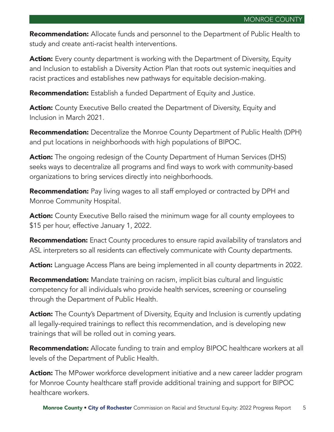Recommendation: Allocate funds and personnel to the Department of Public Health to study and create anti-racist health interventions.

**Action:** Every county department is working with the Department of Diversity, Equity and Inclusion to establish a Diversity Action Plan that roots out systemic inequities and racist practices and establishes new pathways for equitable decision-making.

**Recommendation:** Establish a funded Department of Equity and Justice.

**Action:** County Executive Bello created the Department of Diversity, Equity and Inclusion in March 2021.

**Recommendation:** Decentralize the Monroe County Department of Public Health (DPH) and put locations in neighborhoods with high populations of BIPOC.

**Action:** The ongoing redesign of the County Department of Human Services (DHS) seeks ways to decentralize all programs and find ways to work with community-based organizations to bring services directly into neighborhoods.

**Recommendation:** Pay living wages to all staff employed or contracted by DPH and Monroe Community Hospital.

**Action:** County Executive Bello raised the minimum wage for all county employees to \$15 per hour, effective January 1, 2022.

**Recommendation:** Enact County procedures to ensure rapid availability of translators and ASL interpreters so all residents can effectively communicate with County departments.

**Action:** Language Access Plans are being implemented in all county departments in 2022.

**Recommendation:** Mandate training on racism, implicit bias cultural and linguistic competency for all individuals who provide health services, screening or counseling through the Department of Public Health.

**Action:** The County's Department of Diversity, Equity and Inclusion is currently updating all legally-required trainings to reflect this recommendation, and is developing new trainings that will be rolled out in coming years.

**Recommendation:** Allocate funding to train and employ BIPOC healthcare workers at all levels of the Department of Public Health.

**Action:** The MPower workforce development initiative and a new career ladder program for Monroe County healthcare staff provide additional training and support for BIPOC healthcare workers.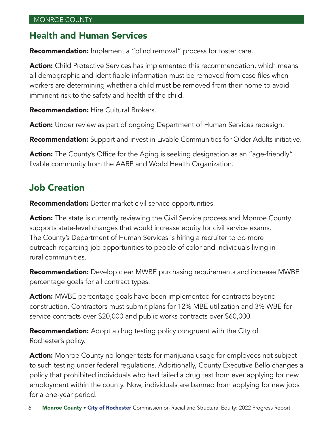#### Health and Human Services

Recommendation: Implement a "blind removal" process for foster care.

**Action:** Child Protective Services has implemented this recommendation, which means all demographic and identifiable information must be removed from case files when workers are determining whether a child must be removed from their home to avoid imminent risk to the safety and health of the child.

**Recommendation:** Hire Cultural Brokers.

Action: Under review as part of ongoing Department of Human Services redesign.

**Recommendation:** Support and invest in Livable Communities for Older Adults initiative.

Action: The County's Office for the Aging is seeking designation as an "age-friendly" livable community from the AARP and World Health Organization.

# Job Creation

**Recommendation:** Better market civil service opportunities.

**Action:** The state is currently reviewing the Civil Service process and Monroe County supports state-level changes that would increase equity for civil service exams. The County's Department of Human Services is hiring a recruiter to do more outreach regarding job opportunities to people of color and individuals living in rural communities.

**Recommendation:** Develop clear MWBE purchasing requirements and increase MWBE percentage goals for all contract types.

Action: MWBE percentage goals have been implemented for contracts beyond construction. Contractors must submit plans for 12% MBE utilization and 3% WBE for service contracts over \$20,000 and public works contracts over \$60,000.

**Recommendation:** Adopt a drug testing policy congruent with the City of Rochester's policy.

**Action:** Monroe County no longer tests for marijuana usage for employees not subject to such testing under federal regulations. Additionally, County Executive Bello changes a policy that prohibited individuals who had failed a drug test from ever applying for new employment within the county. Now, individuals are banned from applying for new jobs for a one-year period.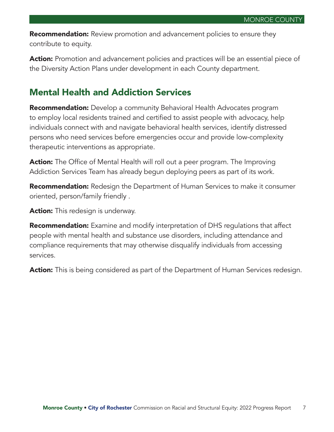**Recommendation:** Review promotion and advancement policies to ensure they contribute to equity.

**Action:** Promotion and advancement policies and practices will be an essential piece of the Diversity Action Plans under development in each County department.

### Mental Health and Addiction Services

**Recommendation:** Develop a community Behavioral Health Advocates program to employ local residents trained and certified to assist people with advocacy, help individuals connect with and navigate behavioral health services, identify distressed persons who need services before emergencies occur and provide low-complexity therapeutic interventions as appropriate.

**Action:** The Office of Mental Health will roll out a peer program. The Improving Addiction Services Team has already begun deploying peers as part of its work.

**Recommendation:** Redesign the Department of Human Services to make it consumer oriented, person/family friendly .

**Action:** This redesign is underway.

**Recommendation:** Examine and modify interpretation of DHS regulations that affect people with mental health and substance use disorders, including attendance and compliance requirements that may otherwise disqualify individuals from accessing services.

Action: This is being considered as part of the Department of Human Services redesign.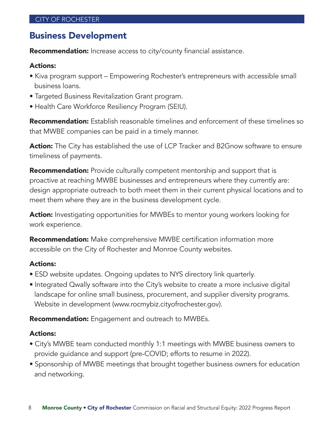#### Business Development

**Recommendation:** Increase access to city/county financial assistance.

#### Actions:

- Kiva program support Empowering Rochester's entrepreneurs with accessible small business loans.
- Targeted Business Revitalization Grant program.
- Health Care Workforce Resiliency Program (SEIU).

**Recommendation:** Establish reasonable timelines and enforcement of these timelines so that MWBE companies can be paid in a timely manner.

**Action:** The City has established the use of LCP Tracker and B2Gnow software to ensure timeliness of payments.

**Recommendation:** Provide culturally competent mentorship and support that is proactive at reaching MWBE businesses and entrepreneurs where they currently are: design appropriate outreach to both meet them in their current physical locations and to meet them where they are in the business development cycle.

**Action:** Investigating opportunities for MWBEs to mentor young workers looking for work experience.

**Recommendation:** Make comprehensive MWBE certification information more accessible on the City of Rochester and Monroe County websites.

#### Actions:

- ESD website updates. Ongoing updates to NYS directory link quarterly.
- Integrated Qwally software into the City's website to create a more inclusive digital landscape for online small business, procurement, and supplier diversity programs. Website in development (www.rocmybiz.cityofrochester.gov).

**Recommendation:** Engagement and outreach to MWBEs.

#### Actions:

- City's MWBE team conducted monthly 1:1 meetings with MWBE business owners to provide guidance and support (pre-COVID; efforts to resume in 2022).
- Sponsorship of MWBE meetings that brought together business owners for education and networking.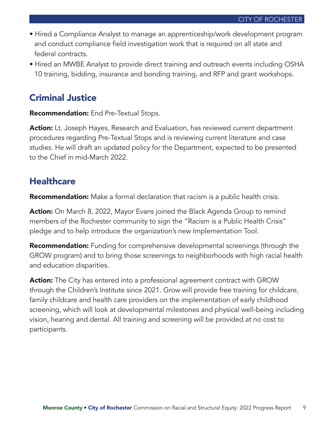- Hired a Compliance Analyst to manage an apprenticeship/work development program and conduct compliance field investigation work that is required on all state and federal contracts.
- Hired an MWBE Analyst to provide direct training and outreach events including OSHA 10 training, bidding, insurance and bonding training, and RFP and grant workshops.

#### Criminal Justice

**Recommendation:** End Pre-Textual Stops.

**Action:** Lt. Joseph Hayes, Research and Evaluation, has reviewed current department procedures regarding Pre-Textual Stops and is reviewing current literature and case studies. He will draft an updated policy for the Department, expected to be presented to the Chief in mid-March 2022.

#### **Healthcare**

**Recommendation:** Make a formal declaration that racism is a public health crisis.

**Action:** On March 8, 2022, Mayor Evans joined the Black Agenda Group to remind members of the Rochester community to sign the "Racism is a Public Health Crisis" pledge and to help introduce the organization's new Implementation Tool.

**Recommendation:** Funding for comprehensive developmental screenings (through the GROW program) and to bring those screenings to neighborhoods with high racial health and education disparities.

**Action:** The City has entered into a professional agreement contract with GROW through the Children's Institute since 2021. Grow will provide free training for childcare, family childcare and health care providers on the implementation of early childhood screening, which will look at developmental milestones and physical well-being including vision, hearing and dental. All training and screening will be provided at no cost to participants.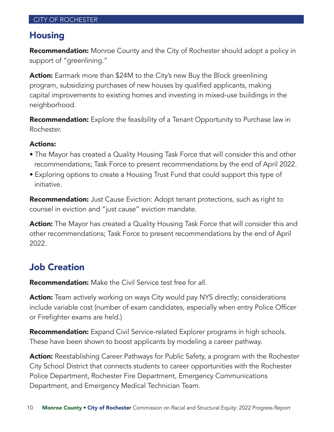#### Housing

**Recommendation:** Monroe County and the City of Rochester should adopt a policy in support of "greenlining."

**Action:** Earmark more than \$24M to the City's new Buy the Block greenlining program, subsidizing purchases of new houses by qualified applicants, making capital improvements to existing homes and investing in mixed-use buildings in the neighborhood.

**Recommendation:** Explore the feasibility of a Tenant Opportunity to Purchase law in Rochester.

#### Actions:

- The Mayor has created a Quality Housing Task Force that will consider this and other recommendations; Task Force to present recommendations by the end of April 2022.
- Exploring options to create a Housing Trust Fund that could support this type of initiative.

**Recommendation:** Just Cause Eviction: Adopt tenant protections, such as right to counsel in eviction and "just cause" eviction mandate.

**Action:** The Mayor has created a Quality Housing Task Force that will consider this and other recommendations; Task Force to present recommendations by the end of April 2022.

# Job Creation

Recommendation: Make the Civil Service test free for all.

Action: Team actively working on ways City would pay NYS directly; considerations include variable cost (number of exam candidates, especially when entry Police Officer or Firefighter exams are held.)

**Recommendation:** Expand Civil Service-related Explorer programs in high schools. These have been shown to boost applicants by modeling a career pathway.

**Action:** Reestablishing Career Pathways for Public Safety, a program with the Rochester City School District that connects students to career opportunities with the Rochester Police Department, Rochester Fire Department, Emergency Communications Department, and Emergency Medical Technician Team.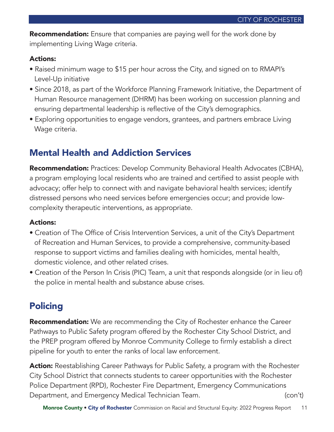Recommendation: Ensure that companies are paying well for the work done by implementing Living Wage criteria.

#### Actions:

- Raised minimum wage to \$15 per hour across the City, and signed on to RMAPI's Level-Up initiative
- Since 2018, as part of the Workforce Planning Framework Initiative, the Department of Human Resource management (DHRM) has been working on succession planning and ensuring departmental leadership is reflective of the City's demographics.
- Exploring opportunities to engage vendors, grantees, and partners embrace Living Wage criteria.

# Mental Health and Addiction Services

Recommendation: Practices: Develop Community Behavioral Health Advocates (CBHA), a program employing local residents who are trained and certified to assist people with advocacy; offer help to connect with and navigate behavioral health services; identify distressed persons who need services before emergencies occur; and provide lowcomplexity therapeutic interventions, as appropriate.

#### Actions:

- Creation of The Office of Crisis Intervention Services, a unit of the City's Department of Recreation and Human Services, to provide a comprehensive, community-based response to support victims and families dealing with homicides, mental health, domestic violence, and other related crises.
- Creation of the Person In Crisis (PIC) Team, a unit that responds alongside (or in lieu of) the police in mental health and substance abuse crises.

# Policing

**Recommendation:** We are recommending the City of Rochester enhance the Career Pathways to Public Safety program offered by the Rochester City School District, and the PREP program offered by Monroe Community College to firmly establish a direct pipeline for youth to enter the ranks of local law enforcement.

**Action:** Reestablishing Career Pathways for Public Safety, a program with the Rochester City School District that connects students to career opportunities with the Rochester Police Department (RPD), Rochester Fire Department, Emergency Communications Department, and Emergency Medical Technician Team. (con't) (con't)